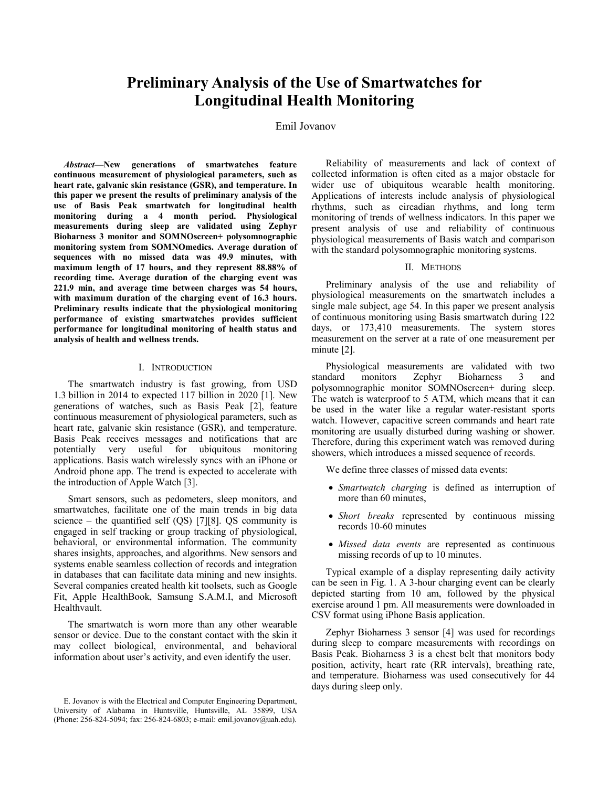# **Preliminary Analysis of the Use of Smartwatches for Longitudinal Health Monitoring**

## Emil Jovanov

Abstract-New generations of smartwatches feature continuous measurement of physiological parameters, such as heart rate, galvanic skin resistance (GSR), and temperature. In this paper we present the results of preliminary analysis of the use of Basis Peak smartwatch for longitudinal health monitoring during a 4 month period. Physiological measurements during sleep are validated using Zephyr Bioharness 3 monitor and SOMNOscreen+ polysomnographic monitoring system from SOMNOmedics. Average duration of sequences with no missed data was 49.9 minutes, with maximum length of 17 hours, and they represent 88.88% of recording time. Average duration of the charging event was 221.9 min, and average time between charges was 54 hours, with maximum duration of the charging event of 16.3 hours. Preliminary results indicate that the physiological monitoring performance of existing smartwatches provides sufficient performance for longitudinal monitoring of health status and analysis of health and wellness trends.

#### I. INTRODUCTION

The smartwatch industry is fast growing, from USD 1.3 billion in 2014 to expected 117 billion in 2020 [1]. New generations of watches, such as Basis Peak [2], feature continuous measurement of physiological parameters, such as heart rate, galvanic skin resistance (GSR), and temperature. Basis Peak receives messages and notifications that are potentially very useful for ubiquitous monitoring applications. Basis watch wirelessly syncs with an iPhone or Android phone app. The trend is expected to accelerate with the introduction of Apple Watch [3].

Smart sensors, such as pedometers, sleep monitors, and smartwatches, facilitate one of the main trends in big data science – the quantified self (QS) [7][8]. QS community is engaged in self tracking or group tracking of physiological, behavioral, or environmental information. The community shares insights, approaches, and algorithms. New sensors and systems enable seamless collection of records and integration in databases that can facilitate data mining and new insights. Several companies created health kit toolsets, such as Google Fit, Apple HealthBook, Samsung S.A.M.I, and Microsoft Healthvault.

The smartwatch is worn more than any other wearable sensor or device. Due to the constant contact with the skin it may collect biological, environmental, and behavioral information about user's activity, and even identify the user.

Reliability of measurements and lack of context of collected information is often cited as a major obstacle for wider use of ubiquitous wearable health monitoring. Applications of interests include analysis of physiological rhythms, such as circadian rhythms, and long term monitoring of trends of wellness indicators. In this paper we present analysis of use and reliability of continuous physiological measurements of Basis watch and comparison with the standard polysomnographic monitoring systems.

## II. METHODS

Preliminary analysis of the use and reliability of physiological measurements on the smartwatch includes a single male subject, age 54. In this paper we present analysis of continuous monitoring using Basis smartwatch during 122 days, or 173,410 measurements. The system stores measurement on the server at a rate of one measurement per minute [2].

Physiological measurements are validated with two standard monitors Zephyr **Bioharness**  $\mathbf{R}$ and polysomnographic monitor SOMNOscreen+ during sleep. The watch is waterproof to 5 ATM, which means that it can be used in the water like a regular water-resistant sports watch. However, capacitive screen commands and heart rate monitoring are usually disturbed during washing or shower. Therefore, during this experiment watch was removed during showers, which introduces a missed sequence of records.

We define three classes of missed data events:

- Smartwatch charging is defined as interruption of more than 60 minutes,
- Short breaks represented by continuous missing records 10-60 minutes
- · Missed data events are represented as continuous missing records of up to 10 minutes.

Typical example of a display representing daily activity can be seen in Fig. 1. A 3-hour charging event can be clearly depicted starting from 10 am, followed by the physical exercise around 1 pm. All measurements were downloaded in CSV format using iPhone Basis application.

Zephyr Bioharness 3 sensor [4] was used for recordings during sleep to compare measurements with recordings on Basis Peak. Bioharness 3 is a chest belt that monitors body position, activity, heart rate (RR intervals), breathing rate, and temperature. Bioharness was used consecutively for 44 days during sleep only.

E. Jovanov is with the Electrical and Computer Engineering Department, University of Alabama in Huntsville, Huntsville, AL 35899, USA (Phone: 256-824-5094; fax: 256-824-6803; e-mail: emil.jovanov@uah.edu).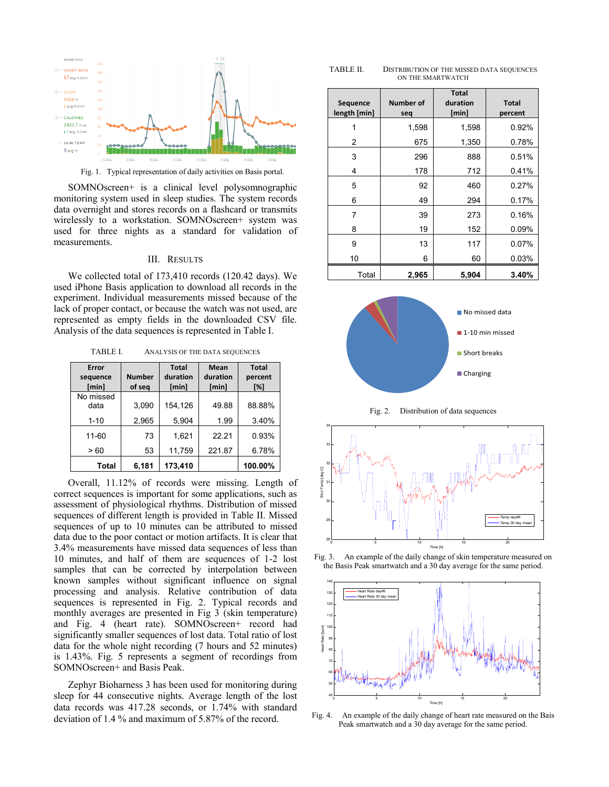

Fig. 1. Typical representation of daily activities on Basis portal.

SOMNOscreen+ is a clinical level polysomnographic monitoring system used in sleep studies. The system records data overnight and stores records on a flashcard or transmits wirelessly to a workstation. SOMNOscreen+ system was used for three nights as a standard for validation of measurements.

#### **III. RESULTS**

We collected total of 173,410 records (120.42 days). We used iPhone Basis application to download all records in the experiment. Individual measurements missed because of the lack of proper contact, or because the watch was not used, are represented as empty fields in the downloaded CSV file. Analysis of the data sequences is represented in Table I.

TABLE I. ANALYSIS OF THE DATA SEQUENCES

| Error<br>sequence<br>[min] | <b>Number</b><br>of seq | <b>Total</b><br>duration<br>[min] | Mean<br>duration<br>[min] | <b>Total</b><br>percent<br>[%] |
|----------------------------|-------------------------|-----------------------------------|---------------------------|--------------------------------|
| No missed<br>data          | 3,090                   | 154,126                           | 49.88                     | 88.88%                         |
| $1 - 10$                   | 2,965                   | 5,904                             | 1.99                      | 3.40%                          |
| 11-60                      | 73                      | 1,621                             | 22.21                     | 0.93%                          |
| >60                        | 53                      | 11,759                            | 221.87                    | 6.78%                          |
| Total                      | 6,181                   | 173,410                           |                           | 100.00%                        |

Overall, 11.12% of records were missing. Length of correct sequences is important for some applications, such as assessment of physiological rhythms. Distribution of missed sequences of different length is provided in Table II. Missed sequences of up to 10 minutes can be attributed to missed data due to the poor contact or motion artifacts. It is clear that 3.4% measurements have missed data sequences of less than 10 minutes, and half of them are sequences of 1-2 lost samples that can be corrected by interpolation between known samples without significant influence on signal processing and analysis. Relative contribution of data sequences is represented in Fig. 2. Typical records and monthly averages are presented in Fig 3 (skin temperature) and Fig. 4 (heart rate). SOMNOscreen+ record had significantly smaller sequences of lost data. Total ratio of lost data for the whole night recording (7 hours and 52 minutes) is 1.43%. Fig. 5 represents a segment of recordings from SOMNOscreen+ and Basis Peak.

Zephyr Bioharness 3 has been used for monitoring during sleep for 44 consecutive nights. Average length of the lost data records was 417.28 seconds, or 1.74% with standard deviation of 1.4  $\%$  and maximum of 5.87% of the record.

**TARLE II** DISTRIBUTION OF THE MISSED DATA SEQUENCES ON THE SMARTWATCH

| Sequence<br>length [min] | <b>Number of</b><br>seq | <b>Total</b><br>duration<br>[min] | <b>Total</b><br>percent |
|--------------------------|-------------------------|-----------------------------------|-------------------------|
| 1                        | 1,598                   | 1,598                             | 0.92%                   |
| 2                        | 675                     | 1,350                             | 0.78%                   |
| 3                        | 296                     | 888                               | 0.51%                   |
| 4                        | 178                     | 712                               | 0.41%                   |
| 5                        | 92                      | 460                               | 0.27%                   |
| 6                        | 49                      | 294                               | 0.17%                   |
| 7                        | 39                      | 273                               | 0.16%                   |
| 8                        | 19                      | 152                               | 0.09%                   |
| 9                        | 13                      | 117                               | 0.07%                   |
| 10                       | 6                       | 60                                | 0.03%                   |
| Total                    | 2,965                   | 5,904                             | 3.40%                   |







Fig. 3. An example of the daily change of skin temperature measured on the Basis Peak smartwatch and a 30 day average for the same period.



An example of the daily change of heart rate measured on the Bais Fig.  $4$ . Peak smartwatch and a 30 day average for the same period.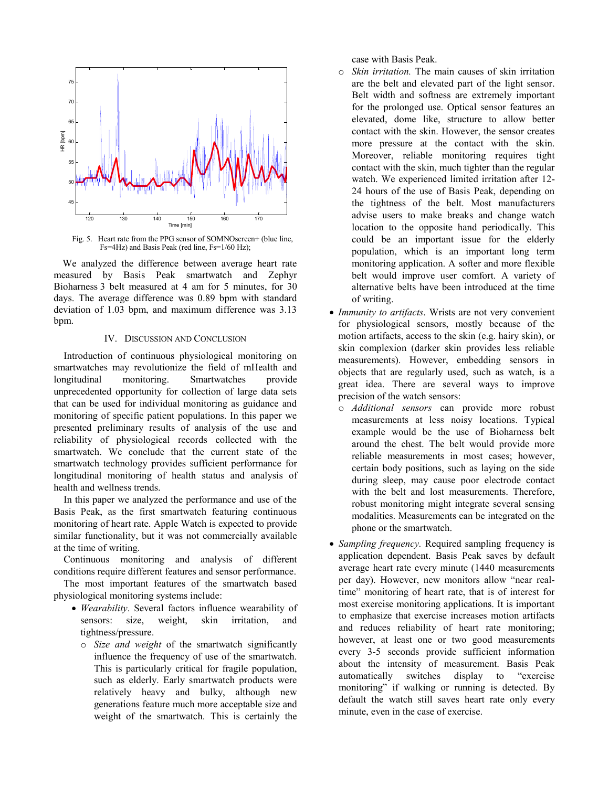

Fig. 5. Heart rate from the PPG sensor of SOMNOscreen+ (blue line, Fs=4Hz) and Basis Peak (red line, Fs=1/60 Hz);

We analyzed the difference between average heart rate measured by Basis Peak smartwatch and Zephyr Bioharness 3 belt measured at 4 am for 5 minutes, for 30 days. The average difference was 0.89 bpm with standard deviation of 1.03 bpm, and maximum difference was 3.13 bpm.

#### IV. DISCUSSION AND CONCLUSION

Introduction of continuous physiological monitoring on smartwatches may revolutionize the field of mHealth and monitoring. Smartwatches longitudinal provide unprecedented opportunity for collection of large data sets that can be used for individual monitoring as guidance and monitoring of specific patient populations. In this paper we presented preliminary results of analysis of the use and reliability of physiological records collected with the smartwatch. We conclude that the current state of the smartwatch technology provides sufficient performance for longitudinal monitoring of health status and analysis of health and wellness trends.

In this paper we analyzed the performance and use of the Basis Peak, as the first smartwatch featuring continuous monitoring of heart rate. Apple Watch is expected to provide similar functionality, but it was not commercially available at the time of writing.

Continuous monitoring and analysis of different conditions require different features and sensor performance.

The most important features of the smartwatch based physiological monitoring systems include:

- *Wearability*. Several factors influence wearability of sensors: size, weight, skin *irritation.* and tightness/pressure.
	- o Size and weight of the smartwatch significantly influence the frequency of use of the smartwatch. This is particularly critical for fragile population. such as elderly. Early smartwatch products were relatively heavy and bulky, although new generations feature much more acceptable size and weight of the smartwatch. This is certainly the

case with Basis Peak.

- $\circ$  *Skin irritation*. The main causes of skin irritation are the belt and elevated part of the light sensor. Belt width and softness are extremely important for the prolonged use. Optical sensor features an elevated, dome like, structure to allow better contact with the skin. However, the sensor creates more pressure at the contact with the skin. Moreover, reliable monitoring requires tight contact with the skin, much tighter than the regular watch. We experienced limited irritation after 12-24 hours of the use of Basis Peak, depending on the tightness of the belt. Most manufacturers advise users to make breaks and change watch location to the opposite hand periodically. This could be an important issue for the elderly population, which is an important long term monitoring application. A softer and more flexible belt would improve user comfort. A variety of alternative belts have been introduced at the time of writing.
- Immunity to artifacts. Wrists are not very convenient for physiological sensors, mostly because of the motion artifacts, access to the skin (e.g. hairy skin), or skin complexion (darker skin provides less reliable measurements). However, embedding sensors in objects that are regularly used, such as watch, is a great idea. There are several ways to improve precision of the watch sensors:
	- o Additional sensors can provide more robust measurements at less noisy locations. Typical example would be the use of Bioharness belt around the chest. The belt would provide more reliable measurements in most cases; however, certain body positions, such as laying on the side during sleep, may cause poor electrode contact with the belt and lost measurements. Therefore, robust monitoring might integrate several sensing modalities. Measurements can be integrated on the phone or the smartwatch.
- Sampling frequency. Required sampling frequency is application dependent. Basis Peak saves by default average heart rate every minute (1440 measurements per day). However, new monitors allow "near realtime" monitoring of heart rate, that is of interest for most exercise monitoring applications. It is important to emphasize that exercise increases motion artifacts and reduces reliability of heart rate monitoring; however, at least one or two good measurements every 3-5 seconds provide sufficient information about the intensity of measurement. Basis Peak automatically switches display "exercise to monitoring" if walking or running is detected. By default the watch still saves heart rate only every minute, even in the case of exercise.